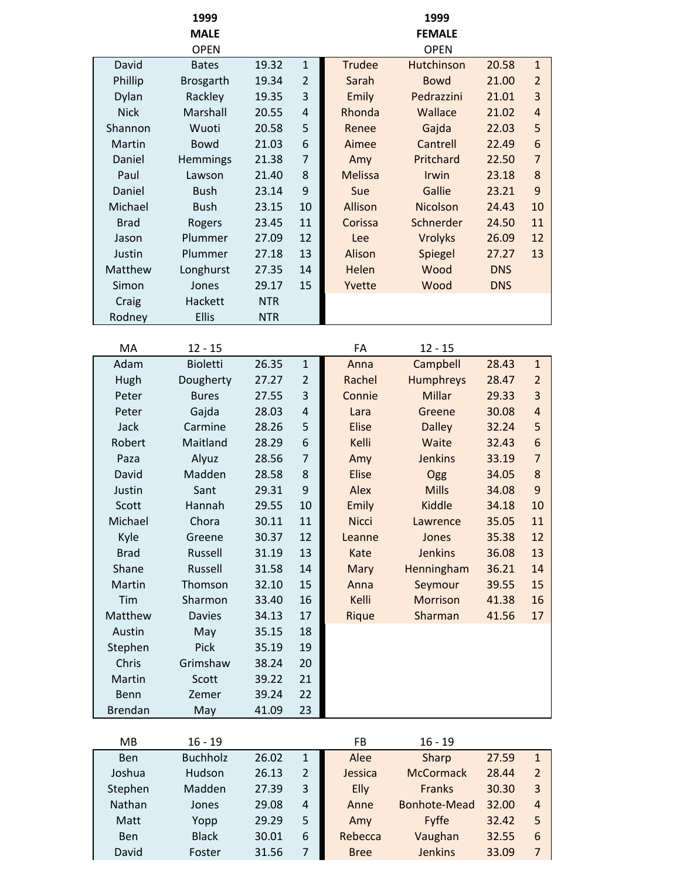|                | 1999             |            |                |                | 1999                |            |                |
|----------------|------------------|------------|----------------|----------------|---------------------|------------|----------------|
|                | <b>MALE</b>      |            |                |                | <b>FEMALE</b>       |            |                |
|                | <b>OPEN</b>      |            |                |                | <b>OPEN</b>         |            |                |
| David          | <b>Bates</b>     | 19.32      | $1\,$          | <b>Trudee</b>  | Hutchinson          | 20.58      | $\mathbf{1}$   |
| Phillip        | <b>Brosgarth</b> | 19.34      | $\overline{2}$ | Sarah          | <b>Bowd</b>         | 21.00      | $\overline{2}$ |
| Dylan          | Rackley          | 19.35      | 3              | Emily          | Pedrazzini          | 21.01      | 3              |
| <b>Nick</b>    | Marshall         | 20.55      | $\overline{4}$ | Rhonda         | Wallace             | 21.02      | $\overline{4}$ |
| Shannon        | Wuoti            | 20.58      | 5              | Renee          | Gajda               | 22.03      | 5              |
| Martin         | <b>Bowd</b>      | 21.03      | 6              | Aimee          | Cantrell            | 22.49      | 6              |
| Daniel         | Hemmings         | 21.38      | $\overline{7}$ | Amy            | Pritchard           | 22.50      | $\overline{7}$ |
| Paul           | Lawson           | 21.40      | 8              | <b>Melissa</b> | Irwin               | 23.18      | 8              |
| Daniel         | <b>Bush</b>      | 23.14      | 9              | Sue            | Gallie              | 23.21      | 9              |
| Michael        | <b>Bush</b>      | 23.15      | 10             | Allison        | Nicolson            | 24.43      | 10             |
| <b>Brad</b>    | Rogers           | 23.45      | 11             | Corissa        | Schnerder           | 24.50      | 11             |
| Jason          | Plummer          | 27.09      | 12             | Lee            | <b>Vrolyks</b>      | 26.09      | 12             |
| Justin         | Plummer          | 27.18      | 13             | Alison         | Spiegel             | 27.27      | 13             |
| Matthew        | Longhurst        | 27.35      | 14             | Helen          | Wood                | <b>DNS</b> |                |
| Simon          | Jones            | 29.17      | 15             | Yvette         | Wood                | <b>DNS</b> |                |
| Craig          | Hackett          | <b>NTR</b> |                |                |                     |            |                |
| Rodney         | <b>Ellis</b>     | <b>NTR</b> |                |                |                     |            |                |
|                |                  |            |                |                |                     |            |                |
| MA             | $12 - 15$        |            |                | FA             | $12 - 15$           |            |                |
| Adam           | <b>Bioletti</b>  | 26.35      | $\mathbf 1$    | Anna           | Campbell            | 28.43      | $\mathbf{1}$   |
| Hugh           | Dougherty        | 27.27      | $\overline{2}$ | Rachel         | Humphreys           | 28.47      | $\overline{2}$ |
| Peter          | <b>Bures</b>     | 27.55      | 3              | Connie         | Millar              | 29.33      | 3              |
| Peter          | Gajda            | 28.03      | $\overline{4}$ | Lara           | Greene              | 30.08      | $\overline{4}$ |
| Jack           | Carmine          | 28.26      | 5              | <b>Elise</b>   | <b>Dalley</b>       | 32.24      | 5              |
| Robert         | Maitland         | 28.29      | 6              | Kelli          | Waite               | 32.43      | 6              |
| Paza           | Alyuz            | 28.56      | $\overline{7}$ | Amy            | <b>Jenkins</b>      | 33.19      | $\overline{7}$ |
| David          | Madden           | 28.58      | 8              | <b>Elise</b>   | Ogg                 | 34.05      | 8              |
| Justin         | Sant             | 29.31      | 9              | Alex           | <b>Mills</b>        | 34.08      | 9              |
| Scott          | Hannah           | 29.55      | 10             | Emily          | <b>Kiddle</b>       | 34.18      | 10             |
| Michael        | Chora            | 30.11      | 11             | <b>Nicci</b>   | Lawrence            | 35.05      | 11             |
| Kyle           | Greene           | 30.37      | 12             | Leanne         | Jones               | 35.38      | 12             |
| <b>Brad</b>    | Russell          | 31.19      | 13             | Kate           | <b>Jenkins</b>      | 36.08      | 13             |
| Shane          | Russell          | 31.58      | 14             | Mary           | Henningham          | 36.21      | 14             |
| Martin         | Thomson          | 32.10      | 15             | Anna           | Seymour             | 39.55      | 15             |
| Tim            | Sharmon          | 33.40      | 16             | Kelli          | <b>Morrison</b>     | 41.38      | 16             |
| Matthew        | <b>Davies</b>    | 34.13      | 17             | Rique          | Sharman             | 41.56      | 17             |
| Austin         | May              | 35.15      | 18             |                |                     |            |                |
| Stephen        | Pick             | 35.19      | 19             |                |                     |            |                |
| Chris          | Grimshaw         | 38.24      | 20             |                |                     |            |                |
| Martin         | Scott            | 39.22      | 21             |                |                     |            |                |
| Benn           | Zemer            | 39.24      | 22             |                |                     |            |                |
| <b>Brendan</b> | May              | 41.09      | 23             |                |                     |            |                |
|                |                  |            |                |                |                     |            |                |
| MB             | $16 - 19$        |            |                | <b>FB</b>      | $16 - 19$           |            |                |
| Ben            | <b>Buchholz</b>  | 26.02      | $\mathbf 1$    | Alee           | Sharp               | 27.59      | $\mathbf{1}$   |
| Joshua         | Hudson           | 26.13      | $\overline{2}$ | Jessica        | <b>McCormack</b>    | 28.44      | $\overline{2}$ |
| Stephen        | Madden           | 27.39      | 3              | Elly           | <b>Franks</b>       | 30.30      | 3              |
| Nathan         | Jones            | 29.08      | 4              | Anne           | <b>Bonhote-Mead</b> | 32.00      | $\overline{a}$ |
| Matt           | Yopp             | 29.29      | 5              | Amy            | Fyffe               | 32.42      | 5              |

Ben Black 30.01 6 Rebecca Vaughan 32.55 6 David Foster 31.56 7 Bree Jenkins 33.09 7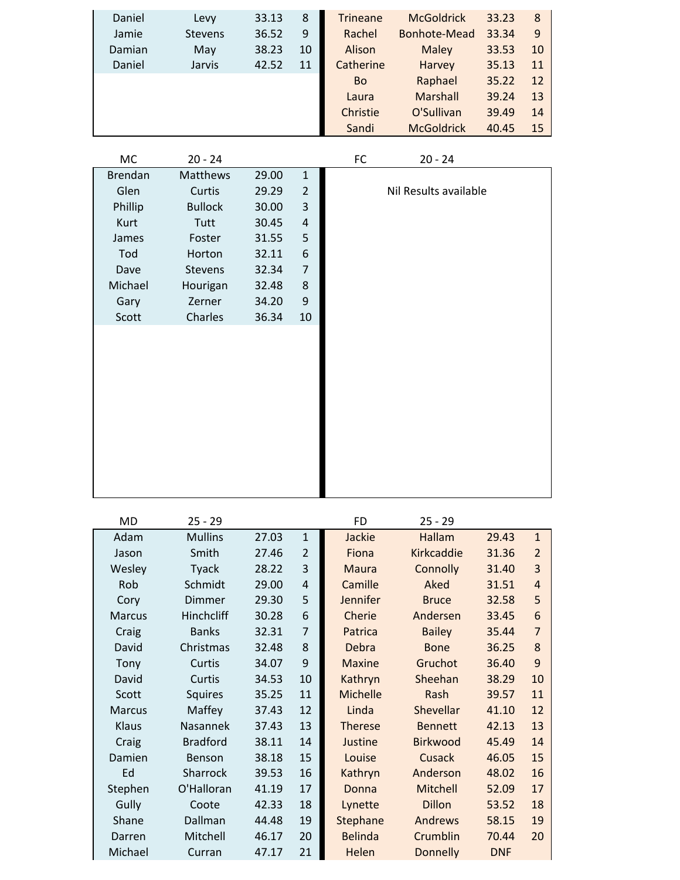| Daniel | Levy           | 33.13 | 8  | <b>Trineane</b> | <b>McGoldrick</b> | 33.23 | 8             |
|--------|----------------|-------|----|-----------------|-------------------|-------|---------------|
| Jamie  | <b>Stevens</b> | 36.52 | 9  | Rachel          | Bonhote-Mead      | 33.34 | 9             |
| Damian | May            | 38.23 | 10 | Alison          | <b>Maley</b>      | 33.53 | <b>10</b>     |
| Daniel | Jarvis         | 42.52 | 11 | Catherine       | Harvey            | 35.13 | 11            |
|        |                |       |    | <b>Bo</b>       | Raphael           | 35.22 | <sup>12</sup> |
|        |                |       |    | Laura           | Marshall          | 39.24 | 13            |
|        |                |       |    | Christie        | O'Sullivan        | 39.49 | 14            |
|        |                |       |    | Sandi           | <b>McGoldrick</b> | 40.45 | 15            |

| МC             | $20 - 24$      |       |                  | $20 - 24$<br>FC       |  |
|----------------|----------------|-------|------------------|-----------------------|--|
| <b>Brendan</b> | Matthews       | 29.00 | $\mathbf 1$      |                       |  |
| Glen           | Curtis         | 29.29 | $\overline{2}$   | Nil Results available |  |
| Phillip        | <b>Bullock</b> | 30.00 | 3                |                       |  |
| Kurt           | Tutt           | 30.45 | $\overline{4}$   |                       |  |
| James          | Foster         | 31.55 | 5                |                       |  |
| Tod            | Horton         | 32.11 | $\boldsymbol{6}$ |                       |  |
| Dave           | Stevens        | 32.34 | $\overline{7}$   |                       |  |
| Michael        | Hourigan       | 32.48 | $\bf 8$          |                       |  |
| Gary           | Zerner         | 34.20 | $9\,$            |                       |  |
| Scott          | Charles        | 36.34 | 10               |                       |  |
|                |                |       |                  |                       |  |
|                |                |       |                  |                       |  |
|                |                |       |                  |                       |  |
|                |                |       |                  |                       |  |
|                |                |       |                  |                       |  |
|                |                |       |                  |                       |  |
|                |                |       |                  |                       |  |
|                |                |       |                  |                       |  |
|                |                |       |                  |                       |  |
|                |                |       |                  |                       |  |
|                |                |       |                  |                       |  |

| MD            | $25 - 29$       |       |                | <b>FD</b>       | $25 - 29$         |            |                |
|---------------|-----------------|-------|----------------|-----------------|-------------------|------------|----------------|
| Adam          | <b>Mullins</b>  | 27.03 | $\mathbf{1}$   | <b>Jackie</b>   | <b>Hallam</b>     | 29.43      | $\mathbf{1}$   |
| Jason         | Smith           | 27.46 | $\overline{2}$ | Fiona           | <b>Kirkcaddie</b> | 31.36      | $\overline{2}$ |
| Wesley        | <b>Tyack</b>    | 28.22 | $\mathsf{3}$   | <b>Maura</b>    | Connolly          | 31.40      | 3              |
| Rob           | Schmidt         | 29.00 | 4              | Camille         | Aked              | 31.51      | $\overline{4}$ |
| Cory          | <b>Dimmer</b>   | 29.30 | 5              | Jennifer        | <b>Bruce</b>      | 32.58      | 5              |
| <b>Marcus</b> | Hinchcliff      | 30.28 | 6              | Cherie          | Andersen          | 33.45      | 6              |
| Craig         | <b>Banks</b>    | 32.31 | $\overline{7}$ | Patrica         | <b>Bailey</b>     | 35.44      | $\overline{7}$ |
| David         | Christmas       | 32.48 | 8              | Debra           | <b>Bone</b>       | 36.25      | 8              |
| Tony          | Curtis          | 34.07 | 9              | <b>Maxine</b>   | Gruchot           | 36.40      | 9              |
| David         | Curtis          | 34.53 | 10             | Kathryn         | Sheehan           | 38.29      | 10             |
| Scott         | <b>Squires</b>  | 35.25 | 11             | Michelle        | Rash              | 39.57      | 11             |
| <b>Marcus</b> | Maffey          | 37.43 | 12             | Linda           | Shevellar         | 41.10      | 12             |
| Klaus         | Nasannek        | 37.43 | 13             | <b>Therese</b>  | <b>Bennett</b>    | 42.13      | 13             |
| Craig         | <b>Bradford</b> | 38.11 | 14             | Justine         | <b>Birkwood</b>   | 45.49      | 14             |
| Damien        | Benson          | 38.18 | 15             | Louise          | Cusack            | 46.05      | 15             |
| Ed            | Sharrock        | 39.53 | 16             | Kathryn         | Anderson          | 48.02      | 16             |
| Stephen       | O'Halloran      | 41.19 | 17             | Donna           | Mitchell          | 52.09      | 17             |
| Gully         | Coote           | 42.33 | 18             | Lynette         | <b>Dillon</b>     | 53.52      | 18             |
| Shane         | Dallman         | 44.48 | 19             | <b>Stephane</b> | Andrews           | 58.15      | 19             |
| Darren        | Mitchell        | 46.17 | 20             | <b>Belinda</b>  | Crumblin          | 70.44      | 20             |
| Michael       | Curran          | 47.17 | 21             | Helen           | <b>Donnelly</b>   | <b>DNF</b> |                |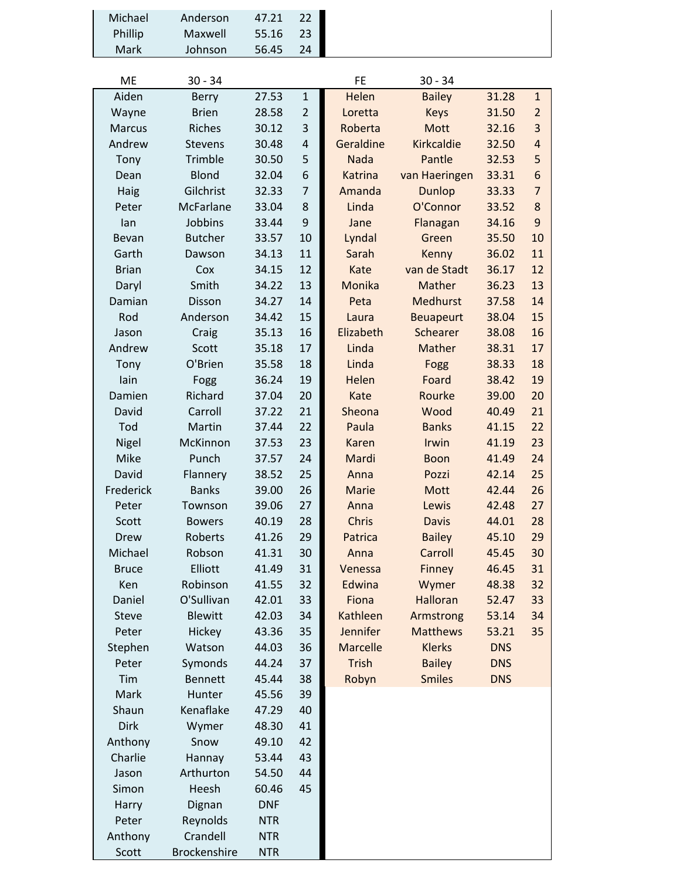| Michael       | Anderson            | 47.21      | 22             |                 |                  |            |                |
|---------------|---------------------|------------|----------------|-----------------|------------------|------------|----------------|
| Phillip       | Maxwell             | 55.16      | 23             |                 |                  |            |                |
| Mark          | Johnson             | 56.45      | 24             |                 |                  |            |                |
|               |                     |            |                |                 |                  |            |                |
| ME            | $30 - 34$           |            |                | FE              | $30 - 34$        |            |                |
| Aiden         | <b>Berry</b>        | 27.53      | $\mathbf{1}$   | Helen           | <b>Bailey</b>    | 31.28      | $\mathbf{1}$   |
| Wayne         | <b>Brien</b>        | 28.58      | $\overline{2}$ | Loretta         | <b>Keys</b>      | 31.50      | $\overline{2}$ |
| <b>Marcus</b> | Riches              | 30.12      | 3              | Roberta         | Mott             | 32.16      | 3              |
| Andrew        | <b>Stevens</b>      | 30.48      | $\overline{4}$ | Geraldine       | Kirkcaldie       | 32.50      | $\overline{4}$ |
| Tony          | Trimble             | 30.50      | 5              | <b>Nada</b>     | Pantle           | 32.53      | 5              |
| Dean          | <b>Blond</b>        | 32.04      | 6              | <b>Katrina</b>  | van Haeringen    | 33.31      | 6              |
| Haig          | Gilchrist           | 32.33      | $\overline{7}$ | Amanda          | Dunlop           | 33.33      | $\overline{7}$ |
| Peter         | McFarlane           | 33.04      | 8              | Linda           | O'Connor         | 33.52      | 8              |
| lan           | Jobbins             | 33.44      | 9              | Jane            | Flanagan         | 34.16      | 9              |
| Bevan         | <b>Butcher</b>      | 33.57      | 10             | Lyndal          | Green            | 35.50      | 10             |
| Garth         | Dawson              | 34.13      | 11             | Sarah           | Kenny            | 36.02      | 11             |
| <b>Brian</b>  | Cox                 | 34.15      | 12             | Kate            | van de Stadt     | 36.17      | 12             |
| Daryl         | Smith               | 34.22      | 13             | Monika          | Mather           | 36.23      | 13             |
| Damian        | Disson              | 34.27      | 14             | Peta            | Medhurst         | 37.58      | 14             |
| Rod           | Anderson            | 34.42      | 15             | Laura           | <b>Beuapeurt</b> | 38.04      | 15             |
| Jason         | Craig               | 35.13      | 16             | Elizabeth       | Schearer         | 38.08      | 16             |
| Andrew        | Scott               | 35.18      | 17             | Linda           | Mather           | 38.31      | 17             |
| Tony          | O'Brien             | 35.58      | 18             | Linda           | Fogg             | 38.33      | 18             |
| lain          | Fogg                | 36.24      | 19             | Helen           | Foard            | 38.42      | 19             |
| Damien        | Richard             | 37.04      | 20             | Kate            | Rourke           | 39.00      | 20             |
| David         | Carroll             | 37.22      | 21             | Sheona          | Wood             | 40.49      | 21             |
| Tod           | Martin              | 37.44      | 22             | Paula           | <b>Banks</b>     | 41.15      | 22             |
| Nigel         | McKinnon            | 37.53      | 23             | <b>Karen</b>    | Irwin            | 41.19      | 23             |
| Mike          | Punch               | 37.57      | 24             | Mardi           | <b>Boon</b>      | 41.49      | 24             |
| David         | Flannery            | 38.52      | 25             | Anna            | Pozzi            | 42.14      | 25             |
| Frederick     | <b>Banks</b>        | 39.00      | 26             | Marie           | <b>Mott</b>      | 42.44      | 26             |
| Peter         | Townson             | 39.06      | 27             | Anna            | Lewis            | 42.48      | 27             |
| Scott         | <b>Bowers</b>       | 40.19      | 28             | Chris           | <b>Davis</b>     | 44.01      | 28             |
| Drew          | Roberts             | 41.26      | 29             | Patrica         | <b>Bailey</b>    | 45.10      | 29             |
| Michael       | Robson              | 41.31      | 30             | Anna            | Carroll          | 45.45      | 30             |
| <b>Bruce</b>  | Elliott             | 41.49      | 31             | Venessa         | Finney           | 46.45      | 31             |
| Ken           | Robinson            | 41.55      | 32             | Edwina          | Wymer            | 48.38      | 32             |
| Daniel        | O'Sullivan          | 42.01      | 33             | Fiona           | Halloran         | 52.47      | 33             |
| <b>Steve</b>  | <b>Blewitt</b>      | 42.03      | 34             | <b>Kathleen</b> | Armstrong        | 53.14      | 34             |
| Peter         | Hickey              | 43.36      | 35             | Jennifer        | <b>Matthews</b>  | 53.21      | 35             |
| Stephen       | Watson              | 44.03      | 36             | <b>Marcelle</b> | <b>Klerks</b>    | <b>DNS</b> |                |
| Peter         | Symonds             | 44.24      | 37             | Trish           | <b>Bailey</b>    | <b>DNS</b> |                |
| Tim           | <b>Bennett</b>      | 45.44      | 38             | Robyn           | <b>Smiles</b>    | <b>DNS</b> |                |
| Mark          | Hunter              | 45.56      | 39             |                 |                  |            |                |
| Shaun         | Kenaflake           | 47.29      | 40             |                 |                  |            |                |
| Dirk          | Wymer               | 48.30      | 41             |                 |                  |            |                |
| Anthony       | Snow                | 49.10      | 42             |                 |                  |            |                |
| Charlie       | Hannay              | 53.44      | 43             |                 |                  |            |                |
| Jason         | Arthurton           | 54.50      | 44             |                 |                  |            |                |
| Simon         | Heesh               | 60.46      | 45             |                 |                  |            |                |
| Harry         | Dignan              | <b>DNF</b> |                |                 |                  |            |                |
| Peter         | Reynolds            | <b>NTR</b> |                |                 |                  |            |                |
| Anthony       | Crandell            | <b>NTR</b> |                |                 |                  |            |                |
| Scott         | <b>Brockenshire</b> | <b>NTR</b> |                |                 |                  |            |                |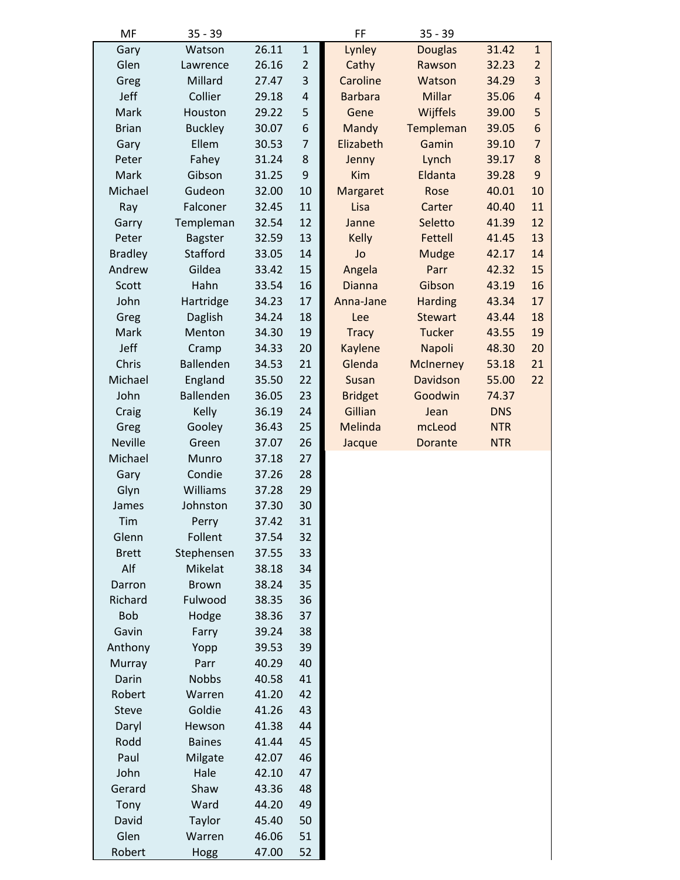| MF             | $35 - 39$      |       |                         | FF             | $35 - 39$        |            |                         |
|----------------|----------------|-------|-------------------------|----------------|------------------|------------|-------------------------|
| Gary           | Watson         | 26.11 | $\mathbf 1$             | Lynley         | <b>Douglas</b>   | 31.42      | $\mathbf{1}$            |
| Glen           | Lawrence       | 26.16 | $\overline{2}$          | Cathy          | Rawson           | 32.23      | $\overline{2}$          |
| Greg           | Millard        | 27.47 | 3                       | Caroline       | Watson           | 34.29      | 3                       |
| Jeff           | Collier        | 29.18 | $\overline{\mathbf{r}}$ | <b>Barbara</b> | <b>Millar</b>    | 35.06      | $\overline{\mathbf{r}}$ |
| Mark           | Houston        | 29.22 | 5                       | Gene           | Wijffels         | 39.00      | 5                       |
| <b>Brian</b>   | <b>Buckley</b> | 30.07 | 6                       | Mandy          | Templeman        | 39.05      | 6                       |
| Gary           | Ellem          | 30.53 | $\overline{7}$          | Elizabeth      | Gamin            | 39.10      | $\overline{7}$          |
| Peter          | Fahey          | 31.24 | 8                       | Jenny          | Lynch            | 39.17      | 8                       |
| Mark           | Gibson         | 31.25 | 9                       | Kim            | Eldanta          | 39.28      | 9                       |
| Michael        | Gudeon         | 32.00 | 10                      | Margaret       | Rose             | 40.01      | 10                      |
| Ray            | Falconer       | 32.45 | 11                      | Lisa           | Carter           | 40.40      | 11                      |
| Garry          | Templeman      | 32.54 | 12                      | Janne          | Seletto          | 41.39      | 12                      |
| Peter          | <b>Bagster</b> | 32.59 | 13                      | <b>Kelly</b>   | Fettell          | 41.45      | 13                      |
| <b>Bradley</b> | Stafford       | 33.05 | 14                      | Jo             | <b>Mudge</b>     | 42.17      | 14                      |
| Andrew         | Gildea         | 33.42 | 15                      | Angela         | Parr             | 42.32      | 15                      |
| Scott          | Hahn           | 33.54 | 16                      | <b>Dianna</b>  | Gibson           | 43.19      | 16                      |
| John           | Hartridge      | 34.23 | 17                      | Anna-Jane      | <b>Harding</b>   | 43.34      | 17                      |
| Greg           | Daglish        | 34.24 | 18                      | Lee            | <b>Stewart</b>   | 43.44      | 18                      |
| Mark           | Menton         | 34.30 | 19                      | <b>Tracy</b>   | <b>Tucker</b>    | 43.55      | 19                      |
| Jeff           | Cramp          | 34.33 | 20                      | Kaylene        | Napoli           | 48.30      | 20                      |
| Chris          | Ballenden      | 34.53 | 21                      | Glenda         | <b>McInerney</b> | 53.18      | 21                      |
| Michael        | England        | 35.50 | 22                      | Susan          | Davidson         | 55.00      | 22                      |
| John           | Ballenden      | 36.05 | 23                      | <b>Bridget</b> | Goodwin          | 74.37      |                         |
| Craig          | Kelly          | 36.19 | 24                      | Gillian        | Jean             | <b>DNS</b> |                         |
| Greg           | Gooley         | 36.43 | 25                      | <b>Melinda</b> | mcLeod           | <b>NTR</b> |                         |
| <b>Neville</b> | Green          | 37.07 | 26                      | Jacque         | Dorante          | <b>NTR</b> |                         |
| Michael        | Munro          | 37.18 | 27                      |                |                  |            |                         |
| Gary           | Condie         | 37.26 | 28                      |                |                  |            |                         |
| Glyn           | Williams       | 37.28 | 29                      |                |                  |            |                         |
| James          | Johnston       | 37.30 | 30                      |                |                  |            |                         |
| Tim            | Perry          | 37.42 | 31                      |                |                  |            |                         |
| Glenn          | Follent        | 37.54 | 32                      |                |                  |            |                         |
| <b>Brett</b>   | Stephensen     | 37.55 | 33                      |                |                  |            |                         |
| Alf            | Mikelat        | 38.18 | 34                      |                |                  |            |                         |
| Darron         | <b>Brown</b>   | 38.24 | 35                      |                |                  |            |                         |
| Richard        | Fulwood        | 38.35 | 36                      |                |                  |            |                         |
| <b>Bob</b>     | Hodge          | 38.36 | 37                      |                |                  |            |                         |
| Gavin          | Farry          | 39.24 | 38                      |                |                  |            |                         |
| Anthony        | Yopp           | 39.53 | 39                      |                |                  |            |                         |
| Murray         | Parr           | 40.29 | 40                      |                |                  |            |                         |
| Darin          | <b>Nobbs</b>   | 40.58 | 41                      |                |                  |            |                         |
| Robert         | Warren         | 41.20 | 42                      |                |                  |            |                         |
| <b>Steve</b>   | Goldie         | 41.26 | 43                      |                |                  |            |                         |
| Daryl          | Hewson         | 41.38 | 44                      |                |                  |            |                         |
| Rodd           | <b>Baines</b>  | 41.44 | 45                      |                |                  |            |                         |
| Paul           | Milgate        | 42.07 | 46                      |                |                  |            |                         |
| John           | Hale           | 42.10 | 47                      |                |                  |            |                         |
| Gerard         | Shaw           | 43.36 | 48                      |                |                  |            |                         |
| Tony           | Ward           | 44.20 | 49                      |                |                  |            |                         |
| David          | Taylor         | 45.40 | 50                      |                |                  |            |                         |
| Glen           | Warren         | 46.06 | 51                      |                |                  |            |                         |
| Robert         | Hogg           | 47.00 | 52                      |                |                  |            |                         |
|                |                |       |                         |                |                  |            |                         |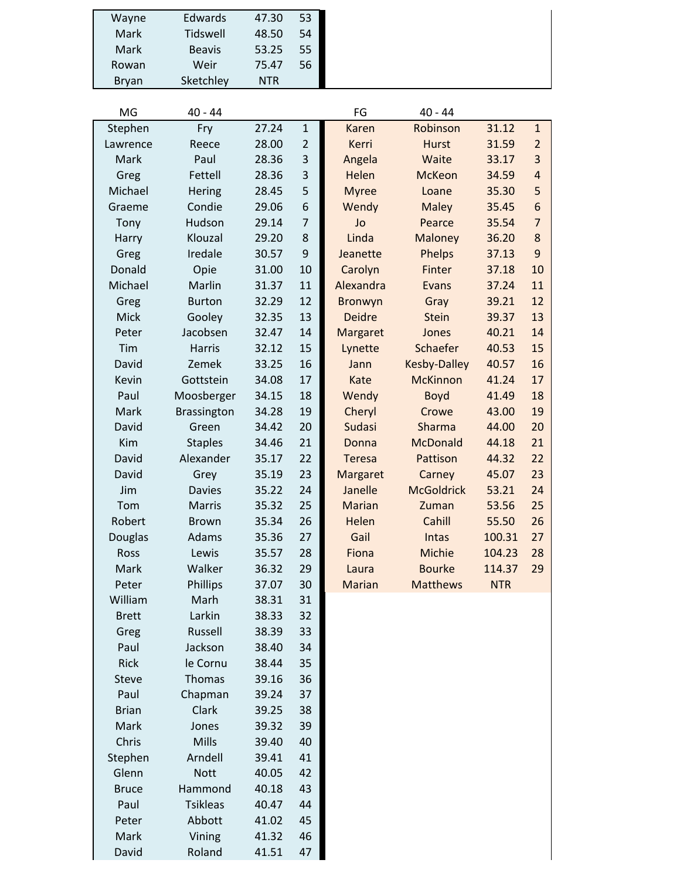| Wayne        | Edwards       | 47.30 | 53 |
|--------------|---------------|-------|----|
| Mark         | Tidswell      | 48.50 | 54 |
| Mark         | <b>Beavis</b> | 53.25 | 55 |
| Rowan        | Weir          | 75.47 | 56 |
| <b>Bryan</b> | Sketchley     | NTR   |    |
|              |               |       |    |

David Roland 41.51 47

| MG           | $40 - 44$          |       |                | FG            | $40 - 44$           |            |                |
|--------------|--------------------|-------|----------------|---------------|---------------------|------------|----------------|
| Stephen      | Fry                | 27.24 | $\mathbf{1}$   | <b>Karen</b>  | Robinson            | 31.12      | $\mathbf{1}$   |
| Lawrence     | Reece              | 28.00 | $\overline{2}$ | Kerri         | <b>Hurst</b>        | 31.59      | $\overline{2}$ |
| Mark         | Paul               | 28.36 | 3              | Angela        | Waite               | 33.17      | 3              |
| Greg         | Fettell            | 28.36 | 3              | Helen         | <b>McKeon</b>       | 34.59      | $\overline{4}$ |
| Michael      | <b>Hering</b>      | 28.45 | 5              | <b>Myree</b>  | Loane               | 35.30      | 5              |
| Graeme       | Condie             | 29.06 | 6              | Wendy         | <b>Maley</b>        | 35.45      | 6              |
| Tony         | Hudson             | 29.14 | $\overline{7}$ | Jo            | Pearce              | 35.54      | $\overline{7}$ |
| Harry        | Klouzal            | 29.20 | 8              | Linda         | <b>Maloney</b>      | 36.20      | $\bf 8$        |
| Greg         | Iredale            | 30.57 | 9              | Jeanette      | <b>Phelps</b>       | 37.13      | 9              |
| Donald       | Opie               | 31.00 | 10             | Carolyn       | Finter              | 37.18      | 10             |
| Michael      | Marlin             | 31.37 | 11             | Alexandra     | Evans               | 37.24      | 11             |
| Greg         | <b>Burton</b>      | 32.29 | 12             | Bronwyn       | Gray                | 39.21      | 12             |
| <b>Mick</b>  | Gooley             | 32.35 | 13             | <b>Deidre</b> | <b>Stein</b>        | 39.37      | 13             |
| Peter        | Jacobsen           | 32.47 | 14             | Margaret      | Jones               | 40.21      | 14             |
| Tim          | <b>Harris</b>      | 32.12 | 15             | Lynette       | Schaefer            | 40.53      | 15             |
| David        | Zemek              | 33.25 | 16             | Jann          | <b>Kesby-Dalley</b> | 40.57      | 16             |
| Kevin        | Gottstein          | 34.08 | 17             | Kate          | <b>McKinnon</b>     | 41.24      | 17             |
| Paul         | Moosberger         | 34.15 | 18             | Wendy         | <b>Boyd</b>         | 41.49      | 18             |
| Mark         | <b>Brassington</b> | 34.28 | 19             | Cheryl        | Crowe               | 43.00      | 19             |
| David        | Green              | 34.42 | 20             | <b>Sudasi</b> | Sharma              | 44.00      | 20             |
| Kim          | <b>Staples</b>     | 34.46 | 21             | Donna         | <b>McDonald</b>     | 44.18      | 21             |
| David        | Alexander          | 35.17 | 22             | <b>Teresa</b> | Pattison            | 44.32      | 22             |
| David        | Grey               | 35.19 | 23             | Margaret      | Carney              | 45.07      | 23             |
| Jim          | <b>Davies</b>      | 35.22 | 24             | Janelle       | <b>McGoldrick</b>   | 53.21      | 24             |
| Tom          | <b>Marris</b>      | 35.32 | 25             | <b>Marian</b> | Zuman               | 53.56      | 25             |
| Robert       | <b>Brown</b>       | 35.34 | 26             | Helen         | Cahill              | 55.50      | 26             |
| Douglas      | Adams              | 35.36 | 27             | Gail          | <b>Intas</b>        | 100.31     | 27             |
| Ross         | Lewis              | 35.57 | 28             | Fiona         | Michie              | 104.23     | 28             |
| Mark         | Walker             | 36.32 | 29             | Laura         | <b>Bourke</b>       | 114.37     | 29             |
| Peter        | Phillips           | 37.07 | 30             | <b>Marian</b> | <b>Matthews</b>     | <b>NTR</b> |                |
| William      | Marh               | 38.31 | 31             |               |                     |            |                |
| <b>Brett</b> | Larkin             | 38.33 | 32             |               |                     |            |                |
| Greg         | Russell            | 38.39 | 33             |               |                     |            |                |
| Paul         | Jackson            | 38.40 | 34             |               |                     |            |                |
| Rick         | le Cornu           | 38.44 | 35             |               |                     |            |                |
| <b>Steve</b> | Thomas             | 39.16 | 36             |               |                     |            |                |
| Paul         | Chapman            | 39.24 | 37             |               |                     |            |                |
| <b>Brian</b> | Clark              | 39.25 | 38             |               |                     |            |                |
| Mark         | Jones              | 39.32 | 39             |               |                     |            |                |
| Chris        | Mills              | 39.40 | 40             |               |                     |            |                |
| Stephen      | Arndell            | 39.41 | 41             |               |                     |            |                |
| Glenn        | <b>Nott</b>        | 40.05 | 42             |               |                     |            |                |
| <b>Bruce</b> | Hammond            | 40.18 | 43             |               |                     |            |                |
| Paul         | <b>Tsikleas</b>    | 40.47 | 44             |               |                     |            |                |
| Peter        | Abbott             | 41.02 | 45             |               |                     |            |                |
| Mark         | Vining             | 41.32 | 46             |               |                     |            |                |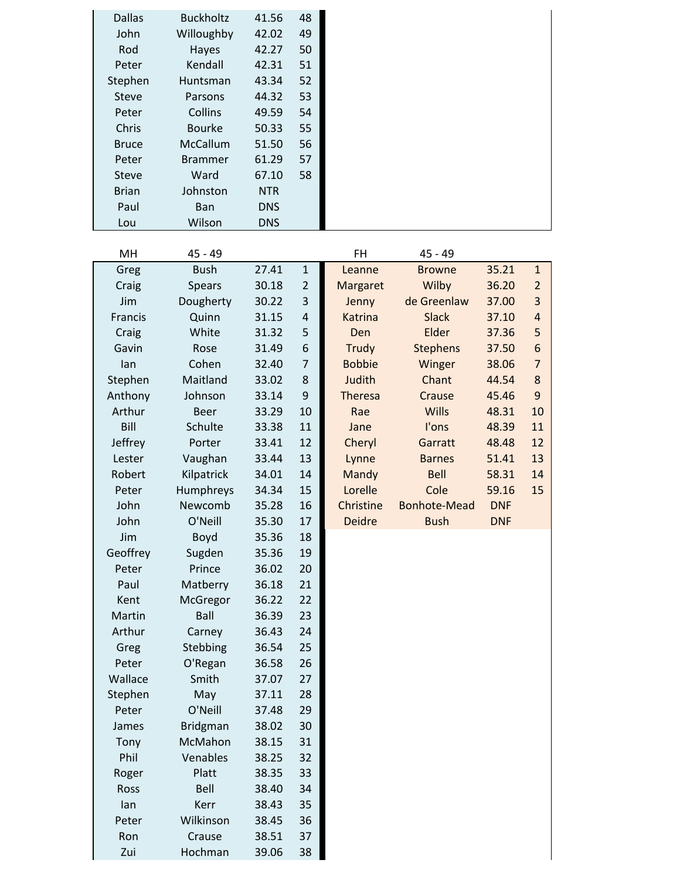| <b>Dallas</b><br>John<br>Rod<br>Peter<br>Stephen<br><b>Steve</b><br>Peter<br>Chris<br><b>Bruce</b> | <b>Buckholtz</b><br>Willoughby<br>Hayes<br>Kendall<br>Huntsman<br>Parsons<br>Collins<br><b>Bourke</b><br>McCallum | 41.56<br>42.02<br>42.27<br>42.31<br>43.34<br>44.32<br>49.59<br>50.33<br>51.50 | 48<br>49<br>50<br>51<br>52<br>53<br>54<br>55<br>56 |                         |                      |                |                                           |
|----------------------------------------------------------------------------------------------------|-------------------------------------------------------------------------------------------------------------------|-------------------------------------------------------------------------------|----------------------------------------------------|-------------------------|----------------------|----------------|-------------------------------------------|
| Peter                                                                                              | <b>Brammer</b>                                                                                                    | 61.29                                                                         | 57                                                 |                         |                      |                |                                           |
| <b>Steve</b>                                                                                       | Ward                                                                                                              | 67.10                                                                         | 58                                                 |                         |                      |                |                                           |
| <b>Brian</b>                                                                                       | Johnston                                                                                                          | <b>NTR</b>                                                                    |                                                    |                         |                      |                |                                           |
| Paul                                                                                               | Ban                                                                                                               | <b>DNS</b>                                                                    |                                                    |                         |                      |                |                                           |
| Lou                                                                                                | Wilson                                                                                                            | <b>DNS</b>                                                                    |                                                    |                         |                      |                |                                           |
| MH                                                                                                 | $45 - 49$                                                                                                         |                                                                               |                                                    | <b>FH</b>               | $45 - 49$            |                |                                           |
| Greg                                                                                               | <b>Bush</b>                                                                                                       | 27.41                                                                         | $\mathbf{1}$                                       | Leanne                  | <b>Browne</b>        | 35.21          | $\mathbf{1}$                              |
| Craig<br>Jim                                                                                       | <b>Spears</b>                                                                                                     | 30.18<br>30.22                                                                | 2                                                  | Margaret                | Wilby<br>de Greenlaw | 36.20          | $\overline{2}$                            |
| Francis                                                                                            | Dougherty<br>Quinn                                                                                                | 31.15                                                                         | 3<br>$\overline{4}$                                | Jenny<br><b>Katrina</b> | <b>Slack</b>         | 37.00<br>37.10 | $\overline{\mathbf{3}}$<br>$\overline{a}$ |
| Craig                                                                                              | White                                                                                                             | 31.32                                                                         | 5                                                  | Den                     | Elder                | 37.36          | 5                                         |
| Gavin                                                                                              | Rose                                                                                                              | 31.49                                                                         | 6                                                  | <b>Trudy</b>            | <b>Stephens</b>      | 37.50          | 6                                         |
| lan                                                                                                | Cohen                                                                                                             | 32.40                                                                         | $\overline{7}$                                     | <b>Bobbie</b>           | Winger               | 38.06          | $\overline{7}$                            |
| Stephen                                                                                            | Maitland                                                                                                          | 33.02                                                                         | 8                                                  | Judith                  | Chant                | 44.54          | 8                                         |
| Anthony                                                                                            | Johnson                                                                                                           | 33.14                                                                         | 9                                                  | Theresa                 | Crause               | 45.46          | 9                                         |
| Arthur                                                                                             | <b>Beer</b>                                                                                                       | 33.29                                                                         | 10                                                 | Rae                     | <b>Wills</b>         | 48.31          | 10                                        |
| Bill                                                                                               | Schulte                                                                                                           | 33.38                                                                         | 11                                                 | Jane                    | I'ons                | 48.39          | 11                                        |
| Jeffrey                                                                                            | Porter                                                                                                            | 33.41                                                                         | 12                                                 | Cheryl                  | Garratt              | 48.48          | 12                                        |
| Lester                                                                                             | Vaughan                                                                                                           | 33.44                                                                         | 13                                                 | Lynne                   | <b>Barnes</b>        | 51.41          | 13                                        |
| Robert                                                                                             | Kilpatrick                                                                                                        | 34.01                                                                         | 14                                                 | <b>Mandy</b>            | <b>Bell</b>          | 58.31          | 14                                        |
| Peter                                                                                              | Humphreys                                                                                                         | 34.34                                                                         | 15                                                 | Lorelle                 | Cole                 | 59.16          | 15                                        |
| John                                                                                               | Newcomb                                                                                                           | 35.28                                                                         | 16                                                 | Christine               | Bonhote-Mead         | <b>DNF</b>     |                                           |
| John                                                                                               | O'Neill                                                                                                           | 35.30                                                                         | 17                                                 | <b>Deidre</b>           | <b>Bush</b>          | <b>DNF</b>     |                                           |
| Jim                                                                                                | Boyd                                                                                                              | 35.36                                                                         | 18                                                 |                         |                      |                |                                           |
| Geoffrey                                                                                           | Sugden                                                                                                            | 35.36                                                                         | 19                                                 |                         |                      |                |                                           |
| Peter                                                                                              | Prince                                                                                                            | 36.02                                                                         | 20                                                 |                         |                      |                |                                           |
| Paul                                                                                               | Matberry                                                                                                          | 36.18                                                                         | 21                                                 |                         |                      |                |                                           |
| Kent                                                                                               | McGregor                                                                                                          | 36.22                                                                         | 22                                                 |                         |                      |                |                                           |
| Martin                                                                                             | <b>Ball</b>                                                                                                       | 36.39                                                                         | 23                                                 |                         |                      |                |                                           |
| Arthur                                                                                             | Carney                                                                                                            | 36.43                                                                         | 24                                                 |                         |                      |                |                                           |
| Greg                                                                                               | Stebbing                                                                                                          | 36.54                                                                         | 25                                                 |                         |                      |                |                                           |
| Peter                                                                                              | O'Regan                                                                                                           | 36.58                                                                         | 26                                                 |                         |                      |                |                                           |
| Wallace                                                                                            | Smith                                                                                                             | 37.07                                                                         | 27                                                 |                         |                      |                |                                           |
| Stephen                                                                                            | May                                                                                                               | 37.11                                                                         | 28                                                 |                         |                      |                |                                           |
| Peter                                                                                              | O'Neill                                                                                                           | 37.48                                                                         | 29                                                 |                         |                      |                |                                           |
| James                                                                                              | <b>Bridgman</b><br>McMahon                                                                                        | 38.02                                                                         | 30<br>31                                           |                         |                      |                |                                           |
| Tony<br>Phil                                                                                       | Venables                                                                                                          | 38.15<br>38.25                                                                | 32                                                 |                         |                      |                |                                           |
| Roger                                                                                              | Platt                                                                                                             | 38.35                                                                         | 33                                                 |                         |                      |                |                                           |
| Ross                                                                                               | Bell                                                                                                              | 38.40                                                                         | 34                                                 |                         |                      |                |                                           |
| lan                                                                                                | Kerr                                                                                                              | 38.43                                                                         | 35                                                 |                         |                      |                |                                           |
| Peter                                                                                              | Wilkinson                                                                                                         | 38.45                                                                         | 36                                                 |                         |                      |                |                                           |
| Ron                                                                                                | Crause                                                                                                            | 38.51                                                                         | 37                                                 |                         |                      |                |                                           |
| Zui                                                                                                | Hochman                                                                                                           | 39.06                                                                         | 38                                                 |                         |                      |                |                                           |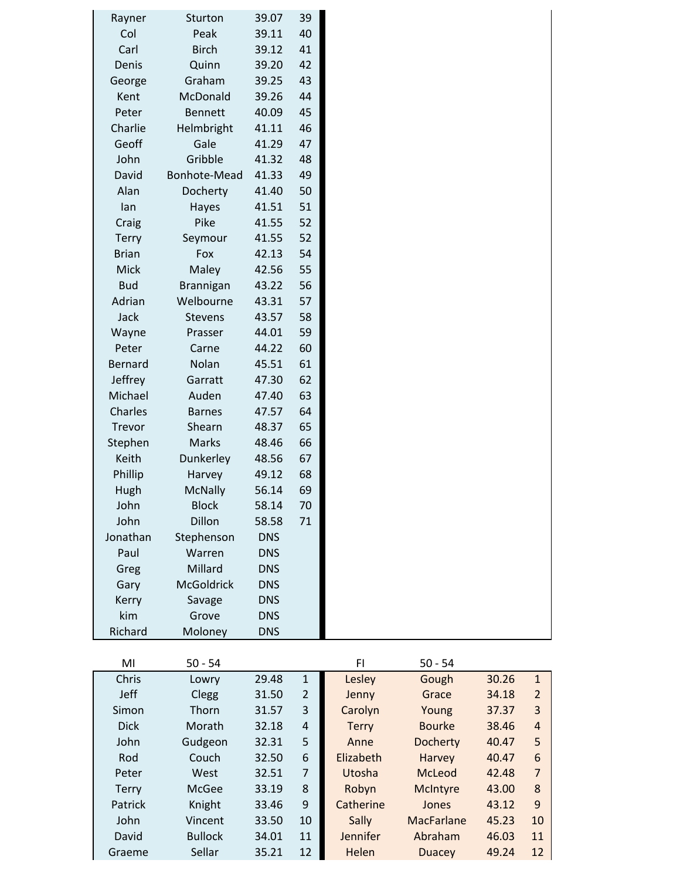| Rayner         | Sturton          | 39.07      | 39 |
|----------------|------------------|------------|----|
| Col            | Peak             | 39.11      | 40 |
| Carl           | <b>Birch</b>     | 39.12      | 41 |
| Denis          | Quinn            | 39.20      | 42 |
| George         | Graham           | 39.25      | 43 |
| Kent           | McDonald         | 39.26      | 44 |
| Peter          | <b>Bennett</b>   | 40.09      | 45 |
| Charlie        | Helmbright       | 41.11      | 46 |
| Geoff          | Gale             | 41.29      | 47 |
| John           | Gribble          | 41.32      | 48 |
| David          | Bonhote-Mead     | 41.33      | 49 |
| Alan           | Docherty         | 41.40      | 50 |
| lan            | Hayes            | 41.51      | 51 |
| Craig          | Pike             | 41.55      | 52 |
| <b>Terry</b>   | Seymour          | 41.55      | 52 |
| <b>Brian</b>   | Fox              | 42.13      | 54 |
| Mick           | Maley            | 42.56      | 55 |
| <b>Bud</b>     | <b>Brannigan</b> | 43.22      | 56 |
| Adrian         | Welbourne        | 43.31      | 57 |
| Jack           | Stevens          | 43.57      | 58 |
| Wayne          | Prasser          | 44.01      | 59 |
| Peter          | Carne            | 44.22      | 60 |
| <b>Bernard</b> | Nolan            | 45.51      | 61 |
| Jeffrey        | Garratt          | 47.30      | 62 |
| Michael        | Auden            | 47.40      | 63 |
| Charles        | <b>Barnes</b>    | 47.57      | 64 |
| Trevor         | Shearn           | 48.37      | 65 |
| Stephen        | Marks            | 48.46      | 66 |
| Keith          | Dunkerley        | 48.56      | 67 |
| Phillip        | Harvey           | 49.12      | 68 |
| Hugh           | <b>McNally</b>   | 56.14      | 69 |
| John           | <b>Block</b>     | 58.14      | 70 |
| John           | Dillon           | 58.58      | 71 |
| Jonathan       | Stephenson       | <b>DNS</b> |    |
| Paul           | Warren           | <b>DNS</b> |    |
| Greg           | Millard          | <b>DNS</b> |    |
| Gary           | McGoldrick       | <b>DNS</b> |    |
| Kerry          | Savage           | <b>DNS</b> |    |
| kim            | Grove            | <b>DNS</b> |    |
| Richard        | Moloney          | <b>DNS</b> |    |
|                |                  |            |    |

| MI           | $50 - 54$      |       |                | FI           | $50 - 54$       |       |                |
|--------------|----------------|-------|----------------|--------------|-----------------|-------|----------------|
| Chris        | Lowry          | 29.48 | $\mathbf{1}$   | Lesley       | Gough           | 30.26 | 1              |
| <b>Jeff</b>  | Clegg          | 31.50 | $\overline{2}$ | Jenny        | Grace           | 34.18 | $\overline{2}$ |
| Simon        | Thorn          | 31.57 | 3              | Carolyn      | Young           | 37.37 | 3              |
| <b>Dick</b>  | Morath         | 32.18 | 4              | <b>Terry</b> | <b>Bourke</b>   | 38.46 | 4              |
| John         | Gudgeon        | 32.31 | 5              | Anne         | <b>Docherty</b> | 40.47 | 5              |
| Rod          | Couch          | 32.50 | 6              | Elizabeth    | Harvey          | 40.47 | 6              |
| Peter        | West           | 32.51 | 7              | Utosha       | McLeod          | 42.48 | 7              |
| <b>Terry</b> | McGee          | 33.19 | 8              | Robyn        | <b>McIntyre</b> | 43.00 | 8              |
| Patrick      | Knight         | 33.46 | 9              | Catherine    | Jones           | 43.12 | 9              |
| John         | Vincent        | 33.50 | 10             | Sally        | MacFarlane      | 45.23 | 10             |
| David        | <b>Bullock</b> | 34.01 | 11             | Jennifer     | Abraham         | 46.03 | 11             |
| Graeme       | Sellar         | 35.21 | 12             | Helen        | <b>Duacey</b>   | 49.24 | 12             |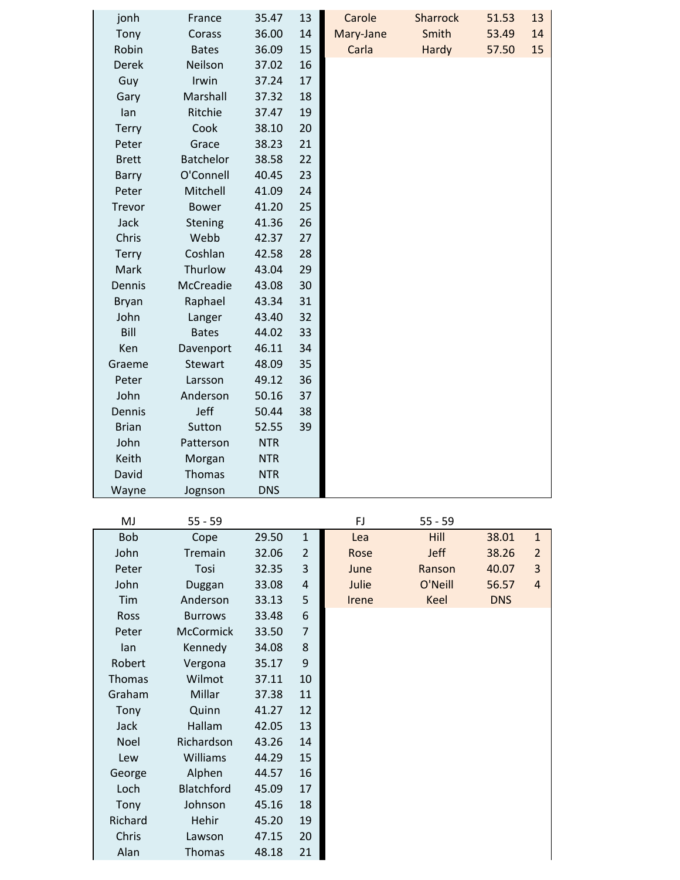| jonh         | France           | 35.47          | 13             | Carole    | <b>Sharrock</b> | 51.53      | 13             |
|--------------|------------------|----------------|----------------|-----------|-----------------|------------|----------------|
| Tony         | Corass           | 36.00          | 14             | Mary-Jane | Smith           | 53.49      | 14             |
| Robin        | <b>Bates</b>     | 36.09          | 15             | Carla     | Hardy           | 57.50      | 15             |
| <b>Derek</b> | Neilson          | 37.02          | 16             |           |                 |            |                |
| Guy          | Irwin            | 37.24          | 17             |           |                 |            |                |
| Gary         | Marshall         | 37.32          | 18             |           |                 |            |                |
| lan          | Ritchie          | 37.47          | 19             |           |                 |            |                |
| <b>Terry</b> | Cook             | 38.10          | 20             |           |                 |            |                |
| Peter        | Grace            | 38.23          | 21             |           |                 |            |                |
| <b>Brett</b> | <b>Batchelor</b> | 38.58          | 22             |           |                 |            |                |
| Barry        | O'Connell        | 40.45          | 23             |           |                 |            |                |
| Peter        | Mitchell         | 41.09          | 24             |           |                 |            |                |
| Trevor       | <b>Bower</b>     | 41.20          | 25             |           |                 |            |                |
| Jack         | Stening          | 41.36          | 26             |           |                 |            |                |
| Chris        | Webb             | 42.37          | 27             |           |                 |            |                |
| <b>Terry</b> | Coshlan          | 42.58          | 28             |           |                 |            |                |
| Mark         | Thurlow          | 43.04          | 29             |           |                 |            |                |
| Dennis       | McCreadie        | 43.08          | 30             |           |                 |            |                |
| <b>Bryan</b> | Raphael          | 43.34          | 31             |           |                 |            |                |
| John         | Langer           | 43.40          | 32             |           |                 |            |                |
| Bill         | <b>Bates</b>     | 44.02          | 33             |           |                 |            |                |
| Ken          | Davenport        | 46.11          | 34             |           |                 |            |                |
| Graeme       | <b>Stewart</b>   | 48.09          | 35             |           |                 |            |                |
| Peter        | Larsson          | 49.12          | 36             |           |                 |            |                |
| John         | Anderson         | 50.16          | 37             |           |                 |            |                |
| Dennis       | Jeff             | 50.44          | 38             |           |                 |            |                |
| <b>Brian</b> | Sutton           | 52.55          | 39             |           |                 |            |                |
| John         | Patterson        | <b>NTR</b>     |                |           |                 |            |                |
| Keith        | Morgan           | <b>NTR</b>     |                |           |                 |            |                |
| David        | Thomas           | <b>NTR</b>     |                |           |                 |            |                |
| Wayne        | Jognson          | <b>DNS</b>     |                |           |                 |            |                |
|              |                  |                |                |           |                 |            |                |
| MJ           | $55 - 59$        |                |                | FJ        | $55 - 59$       |            |                |
| <b>Bob</b>   | Cope             | 29.50          | $\mathbf{1}$   | Lea       | Hill            | 38.01      | $\mathbf{1}$   |
| John         | Tremain          | 32.06          | $\overline{2}$ | Rose      | Jeff            | 38.26      | $\overline{2}$ |
| Peter        | Tosi             | 32.35          | 3              | June      | Ranson          | 40.07      | 3              |
| John         | Duggan           | 33.08          | 4              | Julie     | O'Neill         | 56.57      | $\overline{4}$ |
| Tim          | Anderson         | 33.13          | 5              | Irene     | Keel            | <b>DNS</b> |                |
| Ross         | <b>Burrows</b>   | 33.48          | 6              |           |                 |            |                |
| Peter        | <b>McCormick</b> | 33.50          | 7              |           |                 |            |                |
| lan          | Kennedy          | 34.08          | 8              |           |                 |            |                |
| Robert       | Vergona          | 35.17          | 9              |           |                 |            |                |
| Thomas       | Wilmot           | 37.11          | 10             |           |                 |            |                |
| Graham       | Millar           | 37.38          | 11             |           |                 |            |                |
| Tony         | Quinn            | 41.27          | 12             |           |                 |            |                |
| Jack         | Hallam           | 42.05          | 13             |           |                 |            |                |
| Noel         | Richardson       | 43.26          | 14             |           |                 |            |                |
| Lew          | Williams         | 44.29          | 15             |           |                 |            |                |
| George       | Alphen           | 44.57          | 16             |           |                 |            |                |
| Loch         | Blatchford       | 45.09          | 17             |           |                 |            |                |
| Tony         | Johnson          | 45.16          | 18             |           |                 |            |                |
| Richard      | Hehir            | 45.20          | 19             |           |                 |            |                |
| Chris        |                  |                |                |           |                 |            |                |
| Alan         | Lawson<br>Thomas | 47.15<br>48.18 | 20<br>21       |           |                 |            |                |